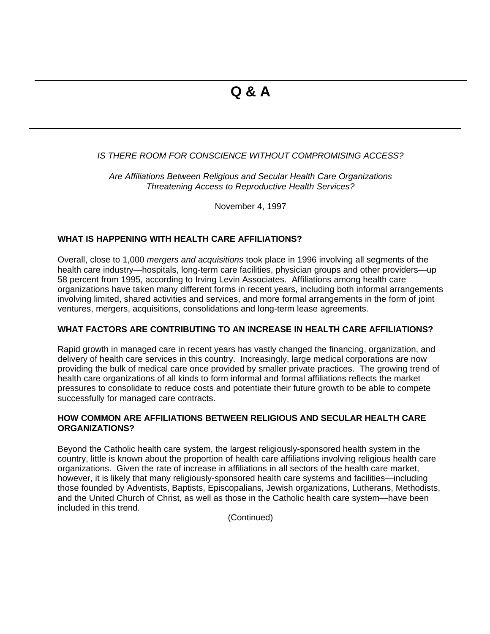# *IS THERE ROOM FOR CONSCIENCE WITHOUT COMPROMISING ACCESS?*

*Are Affiliations Between Religious and Secular Health Care Organizations Threatening Access to Reproductive Health Services?*

November 4, 1997

#### **WHAT IS HAPPENING WITH HEALTH CARE AFFILIATIONS?**

Overall, close to 1,000 *mergers and acquisitions* took place in 1996 involving all segments of the health care industry—hospitals, long-term care facilities, physician groups and other providers—up 58 percent from 1995, according to Irving Levin Associates. Affiliations among health care organizations have taken many different forms in recent years, including both informal arrangements involving limited, shared activities and services, and more formal arrangements in the form of joint ventures, mergers, acquisitions, consolidations and long-term lease agreements.

#### **WHAT FACTORS ARE CONTRIBUTING TO AN INCREASE IN HEALTH CARE AFFILIATIONS?**

Rapid growth in managed care in recent years has vastly changed the financing, organization, and delivery of health care services in this country. Increasingly, large medical corporations are now providing the bulk of medical care once provided by smaller private practices. The growing trend of health care organizations of all kinds to form informal and formal affiliations reflects the market pressures to consolidate to reduce costs and potentiate their future growth to be able to compete successfully for managed care contracts.

# **HOW COMMON ARE AFFILIATIONS BETWEEN RELIGIOUS AND SECULAR HEALTH CARE ORGANIZATIONS?**

Beyond the Catholic health care system, the largest religiously-sponsored health system in the country, little is known about the proportion of health care affiliations involving religious health care organizations. Given the rate of increase in affiliations in all sectors of the health care market, however, it is likely that many religiously-sponsored health care systems and facilities—including those founded by Adventists, Baptists, Episcopalians, Jewish organizations, Lutherans, Methodists, and the United Church of Christ, as well as those in the Catholic health care system—have been included in this trend.

(Continued)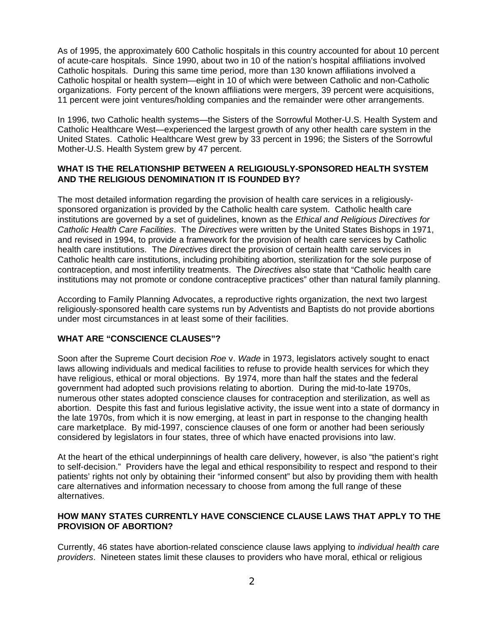As of 1995, the approximately 600 Catholic hospitals in this country accounted for about 10 percent of acute-care hospitals. Since 1990, about two in 10 of the nation's hospital affiliations involved Catholic hospitals. During this same time period, more than 130 known affiliations involved a Catholic hospital or health system—eight in 10 of which were between Catholic and non-Catholic organizations. Forty percent of the known affiliations were mergers, 39 percent were acquisitions, 11 percent were joint ventures/holding companies and the remainder were other arrangements.

In 1996, two Catholic health systems—the Sisters of the Sorrowful Mother-U.S. Health System and Catholic Healthcare West—experienced the largest growth of any other health care system in the United States. Catholic Healthcare West grew by 33 percent in 1996; the Sisters of the Sorrowful Mother-U.S. Health System grew by 47 percent.

### **WHAT IS THE RELATIONSHIP BETWEEN A RELIGIOUSLY-SPONSORED HEALTH SYSTEM AND THE RELIGIOUS DENOMINATION IT IS FOUNDED BY?**

The most detailed information regarding the provision of health care services in a religiouslysponsored organization is provided by the Catholic health care system. Catholic health care institutions are governed by a set of guidelines, known as the *Ethical and Religious Directives for Catholic Health Care Facilities*. The *Directives* were written by the United States Bishops in 1971, and revised in 1994, to provide a framework for the provision of health care services by Catholic health care institutions. The *Directives* direct the provision of certain health care services in Catholic health care institutions, including prohibiting abortion, sterilization for the sole purpose of contraception, and most infertility treatments. The *Directives* also state that "Catholic health care institutions may not promote or condone contraceptive practices" other than natural family planning.

According to Family Planning Advocates, a reproductive rights organization, the next two largest religiously-sponsored health care systems run by Adventists and Baptists do not provide abortions under most circumstances in at least some of their facilities.

#### **WHAT ARE "CONSCIENCE CLAUSES"?**

Soon after the Supreme Court decision *Roe* v. *Wade* in 1973, legislators actively sought to enact laws allowing individuals and medical facilities to refuse to provide health services for which they have religious, ethical or moral objections. By 1974, more than half the states and the federal government had adopted such provisions relating to abortion. During the mid-to-late 1970s, numerous other states adopted conscience clauses for contraception and sterilization, as well as abortion. Despite this fast and furious legislative activity, the issue went into a state of dormancy in the late 1970s, from which it is now emerging, at least in part in response to the changing health care marketplace. By mid-1997, conscience clauses of one form or another had been seriously considered by legislators in four states, three of which have enacted provisions into law.

At the heart of the ethical underpinnings of health care delivery, however, is also "the patient's right to self-decision." Providers have the legal and ethical responsibility to respect and respond to their patients' rights not only by obtaining their "informed consent" but also by providing them with health care alternatives and information necessary to choose from among the full range of these alternatives.

#### **HOW MANY STATES CURRENTLY HAVE CONSCIENCE CLAUSE LAWS THAT APPLY TO THE PROVISION OF ABORTION?**

Currently, 46 states have abortion-related conscience clause laws applying to *individual health care providers*. Nineteen states limit these clauses to providers who have moral, ethical or religious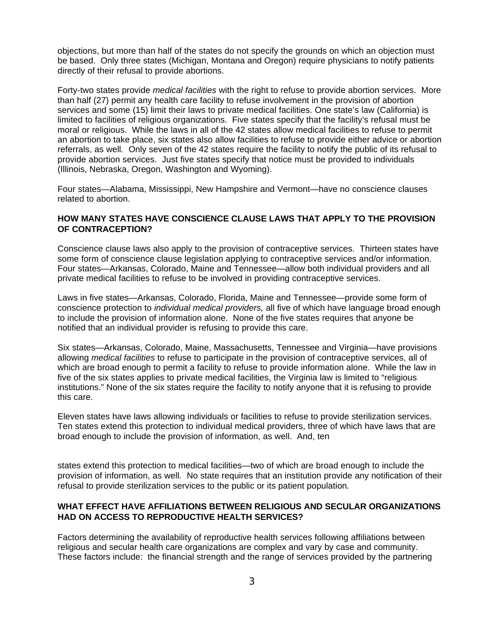objections, but more than half of the states do not specify the grounds on which an objection must be based. Only three states (Michigan, Montana and Oregon) require physicians to notify patients directly of their refusal to provide abortions.

Forty-two states provide *medical facilities* with the right to refuse to provide abortion services. More than half (27) permit any health care facility to refuse involvement in the provision of abortion services and some (15) limit their laws to private medical facilities. One state's law (California) is limited to facilities of religious organizations. Five states specify that the facility's refusal must be moral or religious. While the laws in all of the 42 states allow medical facilities to refuse to permit an abortion to take place, six states also allow facilities to refuse to provide either advice or abortion referrals, as well*.* Only seven of the 42 states require the facility to notify the public of its refusal to provide abortion services. Just five states specify that notice must be provided to individuals (Illinois, Nebraska, Oregon, Washington and Wyoming).

Four states—Alabama, Mississippi, New Hampshire and Vermont—have no conscience clauses related to abortion.

### **HOW MANY STATES HAVE CONSCIENCE CLAUSE LAWS THAT APPLY TO THE PROVISION OF CONTRACEPTION?**

Conscience clause laws also apply to the provision of contraceptive services. Thirteen states have some form of conscience clause legislation applying to contraceptive services and/or information. Four states—Arkansas, Colorado, Maine and Tennessee—allow both individual providers and all private medical facilities to refuse to be involved in providing contraceptive services.

Laws in five states—Arkansas, Colorado, Florida, Maine and Tennessee—provide some form of conscience protection to *individual medical providers,* all five of which have language broad enough to include the provision of information alone. None of the five states requires that anyone be notified that an individual provider is refusing to provide this care.

Six states—Arkansas, Colorado, Maine, Massachusetts, Tennessee and Virginia—have provisions allowing *medical facilities* to refuse to participate in the provision of contraceptive services, all of which are broad enough to permit a facility to refuse to provide information alone. While the law in five of the six states applies to private medical facilities, the Virginia law is limited to "religious institutions." None of the six states require the facility to notify anyone that it is refusing to provide this care.

Eleven states have laws allowing individuals or facilities to refuse to provide sterilization services. Ten states extend this protection to individual medical providers, three of which have laws that are broad enough to include the provision of information, as well. And, ten

states extend this protection to medical facilities—two of which are broad enough to include the provision of information, as well*.* No state requires that an institution provide any notification of their refusal to provide sterilization services to the public or its patient population*.*

### **WHAT EFFECT HAVE AFFILIATIONS BETWEEN RELIGIOUS AND SECULAR ORGANIZATIONS HAD ON ACCESS TO REPRODUCTIVE HEALTH SERVICES?**

Factors determining the availability of reproductive health services following affiliations between religious and secular health care organizations are complex and vary by case and community. These factors include: the financial strength and the range of services provided by the partnering